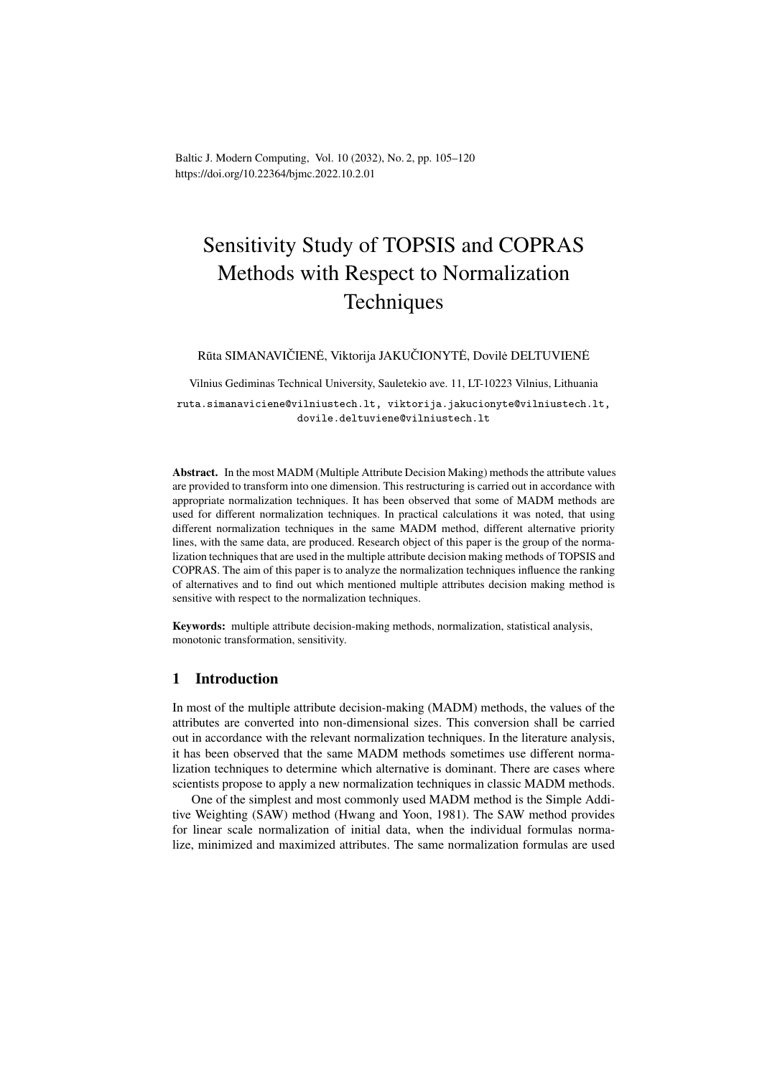Baltic J. Modern Computing, Vol. 10 (2032), No. 2, pp. 105–120 https://doi.org/10.22364/bjmc.2022.10.2.01

# Sensitivity Study of TOPSIS and COPRAS Methods with Respect to Normalization **Techniques**

### Rūta SIMANAVIČIENĖ, Viktorija JAKUČIONYTĖ, Dovilė DELTUVIENĖ

Vilnius Gediminas Technical University, Sauletekio ave. 11, LT-10223 Vilnius, Lithuania ruta.simanaviciene@vilniustech.lt, viktorija.jakucionyte@vilniustech.lt, dovile.deltuviene@vilniustech.lt

Abstract. In the most MADM (Multiple Attribute Decision Making) methods the attribute values are provided to transform into one dimension. This restructuring is carried out in accordance with appropriate normalization techniques. It has been observed that some of MADM methods are used for different normalization techniques. In practical calculations it was noted, that using different normalization techniques in the same MADM method, different alternative priority lines, with the same data, are produced. Research object of this paper is the group of the normalization techniques that are used in the multiple attribute decision making methods of TOPSIS and COPRAS. The aim of this paper is to analyze the normalization techniques influence the ranking of alternatives and to find out which mentioned multiple attributes decision making method is sensitive with respect to the normalization techniques.

Keywords: multiple attribute decision-making methods, normalization, statistical analysis, monotonic transformation, sensitivity.

# 1 Introduction

In most of the multiple attribute decision-making (MADM) methods, the values of the attributes are converted into non-dimensional sizes. This conversion shall be carried out in accordance with the relevant normalization techniques. In the literature analysis, it has been observed that the same MADM methods sometimes use different normalization techniques to determine which alternative is dominant. There are cases where scientists propose to apply a new normalization techniques in classic MADM methods.

One of the simplest and most commonly used MADM method is the Simple Additive Weighting (SAW) method (Hwang and Yoon, 1981). The SAW method provides for linear scale normalization of initial data, when the individual formulas normalize, minimized and maximized attributes. The same normalization formulas are used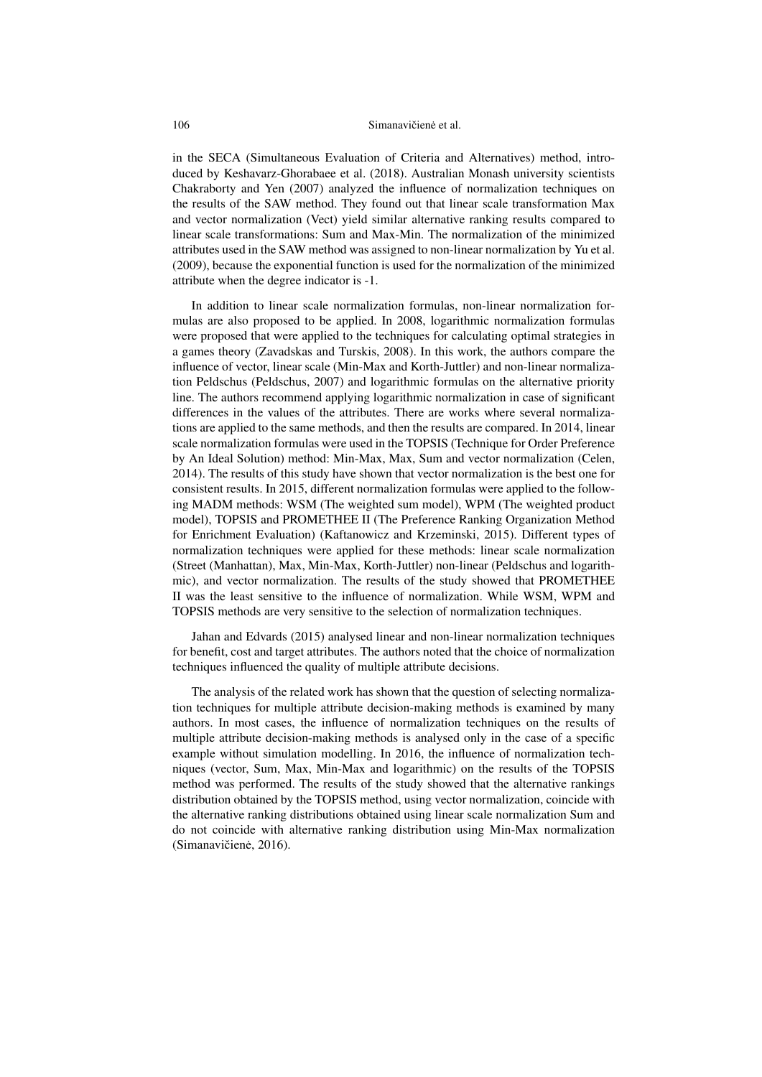in the SECA (Simultaneous Evaluation of Criteria and Alternatives) method, introduced by Keshavarz-Ghorabaee et al. (2018). Australian Monash university scientists Chakraborty and Yen (2007) analyzed the influence of normalization techniques on the results of the SAW method. They found out that linear scale transformation Max and vector normalization (Vect) yield similar alternative ranking results compared to linear scale transformations: Sum and Max-Min. The normalization of the minimized attributes used in the SAW method was assigned to non-linear normalization by Yu et al. (2009), because the exponential function is used for the normalization of the minimized attribute when the degree indicator is -1.

In addition to linear scale normalization formulas, non-linear normalization formulas are also proposed to be applied. In 2008, logarithmic normalization formulas were proposed that were applied to the techniques for calculating optimal strategies in a games theory (Zavadskas and Turskis, 2008). In this work, the authors compare the influence of vector, linear scale (Min-Max and Korth-Juttler) and non-linear normalization Peldschus (Peldschus, 2007) and logarithmic formulas on the alternative priority line. The authors recommend applying logarithmic normalization in case of significant differences in the values of the attributes. There are works where several normalizations are applied to the same methods, and then the results are compared. In 2014, linear scale normalization formulas were used in the TOPSIS (Technique for Order Preference by An Ideal Solution) method: Min-Max, Max, Sum and vector normalization (Celen, 2014). The results of this study have shown that vector normalization is the best one for consistent results. In 2015, different normalization formulas were applied to the following MADM methods: WSM (The weighted sum model), WPM (The weighted product model), TOPSIS and PROMETHEE II (The Preference Ranking Organization Method for Enrichment Evaluation) (Kaftanowicz and Krzeminski, 2015). Different types of normalization techniques were applied for these methods: linear scale normalization (Street (Manhattan), Max, Min-Max, Korth-Juttler) non-linear (Peldschus and logarithmic), and vector normalization. The results of the study showed that PROMETHEE II was the least sensitive to the influence of normalization. While WSM, WPM and TOPSIS methods are very sensitive to the selection of normalization techniques.

Jahan and Edvards (2015) analysed linear and non-linear normalization techniques for benefit, cost and target attributes. The authors noted that the choice of normalization techniques influenced the quality of multiple attribute decisions.

The analysis of the related work has shown that the question of selecting normalization techniques for multiple attribute decision-making methods is examined by many authors. In most cases, the influence of normalization techniques on the results of multiple attribute decision-making methods is analysed only in the case of a specific example without simulation modelling. In 2016, the influence of normalization techniques (vector, Sum, Max, Min-Max and logarithmic) on the results of the TOPSIS method was performed. The results of the study showed that the alternative rankings distribution obtained by the TOPSIS method, using vector normalization, coincide with the alternative ranking distributions obtained using linear scale normalization Sum and do not coincide with alternative ranking distribution using Min-Max normalization (Simanavičienė, 2016).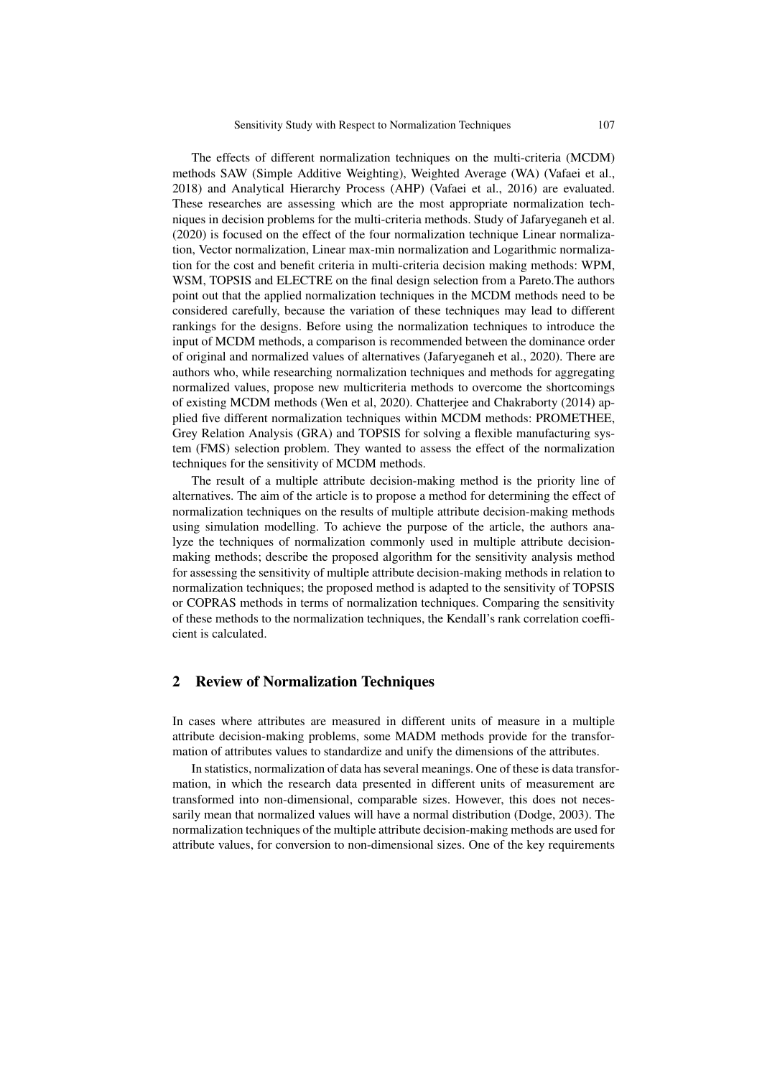The effects of different normalization techniques on the multi-criteria (MCDM) methods SAW (Simple Additive Weighting), Weighted Average (WA) (Vafaei et al., 2018) and Analytical Hierarchy Process (AHP) (Vafaei et al., 2016) are evaluated. These researches are assessing which are the most appropriate normalization techniques in decision problems for the multi-criteria methods. Study of Jafaryeganeh et al. (2020) is focused on the effect of the four normalization technique Linear normalization, Vector normalization, Linear max-min normalization and Logarithmic normalization for the cost and benefit criteria in multi-criteria decision making methods: WPM, WSM, TOPSIS and ELECTRE on the final design selection from a Pareto.The authors point out that the applied normalization techniques in the MCDM methods need to be considered carefully, because the variation of these techniques may lead to different rankings for the designs. Before using the normalization techniques to introduce the input of MCDM methods, a comparison is recommended between the dominance order of original and normalized values of alternatives (Jafaryeganeh et al., 2020). There are authors who, while researching normalization techniques and methods for aggregating normalized values, propose new multicriteria methods to overcome the shortcomings of existing MCDM methods (Wen et al, 2020). Chatterjee and Chakraborty (2014) applied five different normalization techniques within MCDM methods: PROMETHEE, Grey Relation Analysis (GRA) and TOPSIS for solving a flexible manufacturing system (FMS) selection problem. They wanted to assess the effect of the normalization techniques for the sensitivity of MCDM methods.

The result of a multiple attribute decision-making method is the priority line of alternatives. The aim of the article is to propose a method for determining the effect of normalization techniques on the results of multiple attribute decision-making methods using simulation modelling. To achieve the purpose of the article, the authors analyze the techniques of normalization commonly used in multiple attribute decisionmaking methods; describe the proposed algorithm for the sensitivity analysis method for assessing the sensitivity of multiple attribute decision-making methods in relation to normalization techniques; the proposed method is adapted to the sensitivity of TOPSIS or COPRAS methods in terms of normalization techniques. Comparing the sensitivity of these methods to the normalization techniques, the Kendall's rank correlation coefficient is calculated.

## 2 Review of Normalization Techniques

In cases where attributes are measured in different units of measure in a multiple attribute decision-making problems, some MADM methods provide for the transformation of attributes values to standardize and unify the dimensions of the attributes.

In statistics, normalization of data has several meanings. One of these is data transformation, in which the research data presented in different units of measurement are transformed into non-dimensional, comparable sizes. However, this does not necessarily mean that normalized values will have a normal distribution (Dodge, 2003). The normalization techniques of the multiple attribute decision-making methods are used for attribute values, for conversion to non-dimensional sizes. One of the key requirements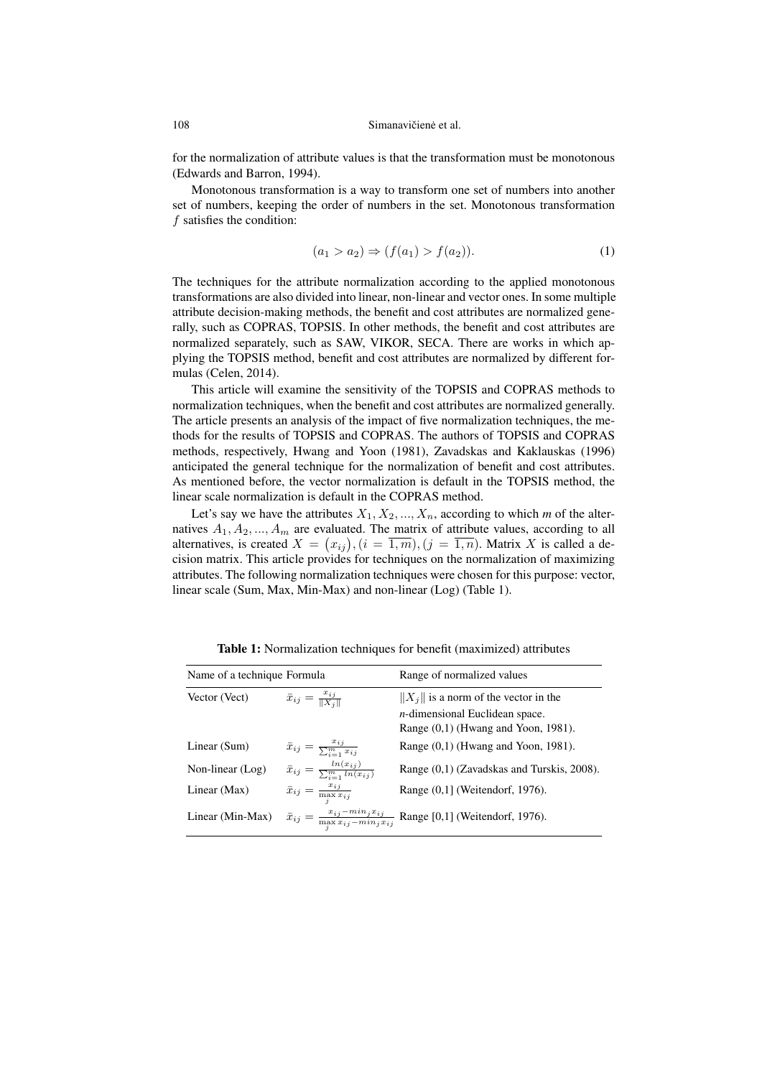for the normalization of attribute values is that the transformation must be monotonous (Edwards and Barron, 1994).

Monotonous transformation is a way to transform one set of numbers into another set of numbers, keeping the order of numbers in the set. Monotonous transformation f satisfies the condition:

$$
(a_1 > a_2) \Rightarrow (f(a_1) > f(a_2)). \tag{1}
$$

The techniques for the attribute normalization according to the applied monotonous transformations are also divided into linear, non-linear and vector ones. In some multiple attribute decision-making methods, the benefit and cost attributes are normalized generally, such as COPRAS, TOPSIS. In other methods, the benefit and cost attributes are normalized separately, such as SAW, VIKOR, SECA. There are works in which applying the TOPSIS method, benefit and cost attributes are normalized by different formulas (Celen, 2014).

This article will examine the sensitivity of the TOPSIS and COPRAS methods to normalization techniques, when the benefit and cost attributes are normalized generally. The article presents an analysis of the impact of five normalization techniques, the methods for the results of TOPSIS and COPRAS. The authors of TOPSIS and COPRAS methods, respectively, Hwang and Yoon (1981), Zavadskas and Kaklauskas (1996) anticipated the general technique for the normalization of benefit and cost attributes. As mentioned before, the vector normalization is default in the TOPSIS method, the linear scale normalization is default in the COPRAS method.

Let's say we have the attributes  $X_1, X_2, ..., X_n$ , according to which *m* of the alternatives  $A_1, A_2, ..., A_m$  are evaluated. The matrix of attribute values, according to all alternatives, is created  $X = (x_{ij}), (i = \overline{1,m}), (j = \overline{1,n})$ . Matrix X is called a decision matrix. This article provides for techniques on the normalization of maximizing attributes. The following normalization techniques were chosen for this purpose: vector, linear scale (Sum, Max, Min-Max) and non-linear (Log) (Table 1).

| Name of a technique Formula |                                                             | Range of normalized values                                                                                                 |  |  |  |  |  |  |
|-----------------------------|-------------------------------------------------------------|----------------------------------------------------------------------------------------------------------------------------|--|--|--|--|--|--|
| Vector (Vect)               | $\bar{x}_{ij} = \frac{x_{ij}}{\ X_i\ }$                     | $  X_i  $ is a norm of the vector in the<br>$n$ -dimensional Euclidean space.<br>Range $(0,1)$ (Hwang and Yoon, 1981).     |  |  |  |  |  |  |
| Linear (Sum)                | $\bar{x}_{ij} = \frac{x_{ij}}{\sum_{i=1}^m x_{ij}}$         | Range $(0,1)$ (Hwang and Yoon, 1981).                                                                                      |  |  |  |  |  |  |
| Non-linear $(Log)$          | $\bar{x}_{ij} = \frac{ln(x_{ij})}{\sum_{i=1}^m ln(x_{ij})}$ | Range (0,1) (Zavadskas and Turskis, 2008).                                                                                 |  |  |  |  |  |  |
| Linear $(Max)$              | $\bar{x}_{ij} = \frac{x_{ij}}{\max_i x_{ij}}$               | Range (0,1] (Weitendorf, 1976).                                                                                            |  |  |  |  |  |  |
| Linear (Min-Max)            |                                                             | $\bar{x}_{ij} = \frac{x_{ij} - m n_j x_{ij}}{\sum\limits_{i=1}^{m} x_{ij} - m n_j x_{ij}}$ Range [0,1] (Weitendorf, 1976). |  |  |  |  |  |  |

Table 1: Normalization techniques for benefit (maximized) attributes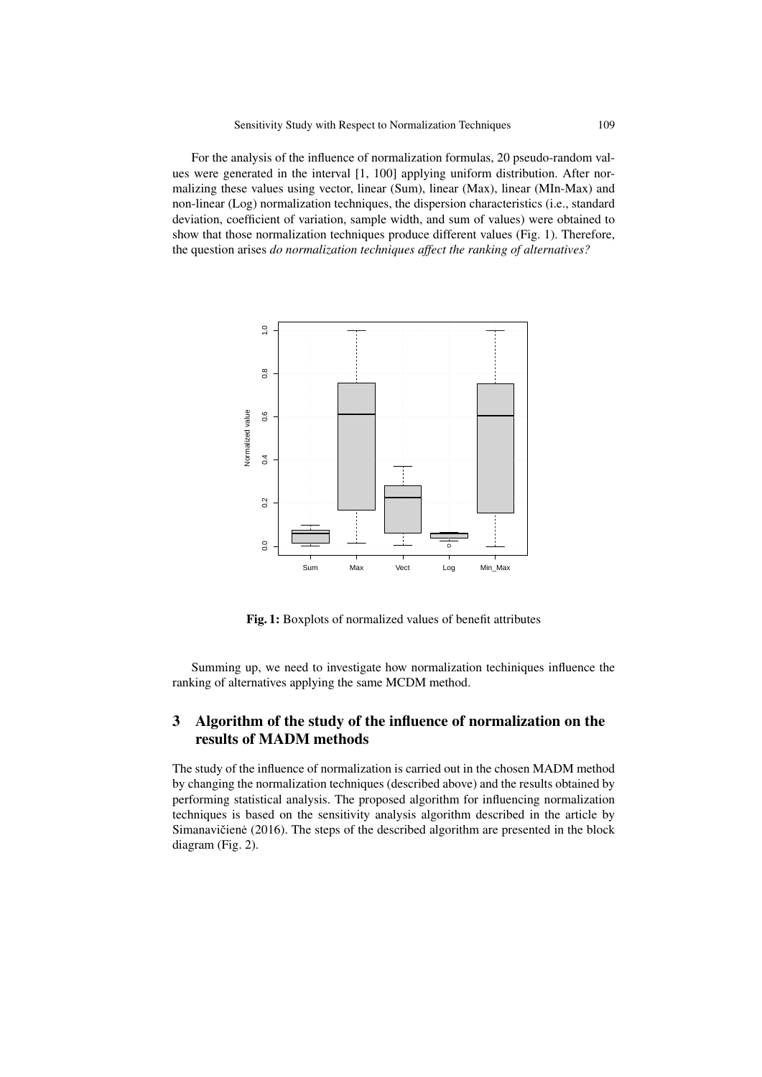For the analysis of the influence of normalization formulas, 20 pseudo-random values were generated in the interval [1, 100] applying uniform distribution. After normalizing these values using vector, linear (Sum), linear (Max), linear (MIn-Max) and non-linear (Log) normalization techniques, the dispersion characteristics (i.e., standard deviation, coefficient of variation, sample width, and sum of values) were obtained to show that those normalization techniques produce different values (Fig. 1). Therefore, the question arises *do normalization techniques affect the ranking of alternatives?*



Fig. 1: Boxplots of normalized values of benefit attributes

Summing up, we need to investigate how normalization techiniques influence the ranking of alternatives applying the same MCDM method.

# 3 Algorithm of the study of the influence of normalization on the results of MADM methods

The study of the influence of normalization is carried out in the chosen MADM method by changing the normalization techniques (described above) and the results obtained by performing statistical analysis. The proposed algorithm for influencing normalization techniques is based on the sensitivity analysis algorithm described in the article by Simanavičienė (2016). The steps of the described algorithm are presented in the block diagram (Fig. 2).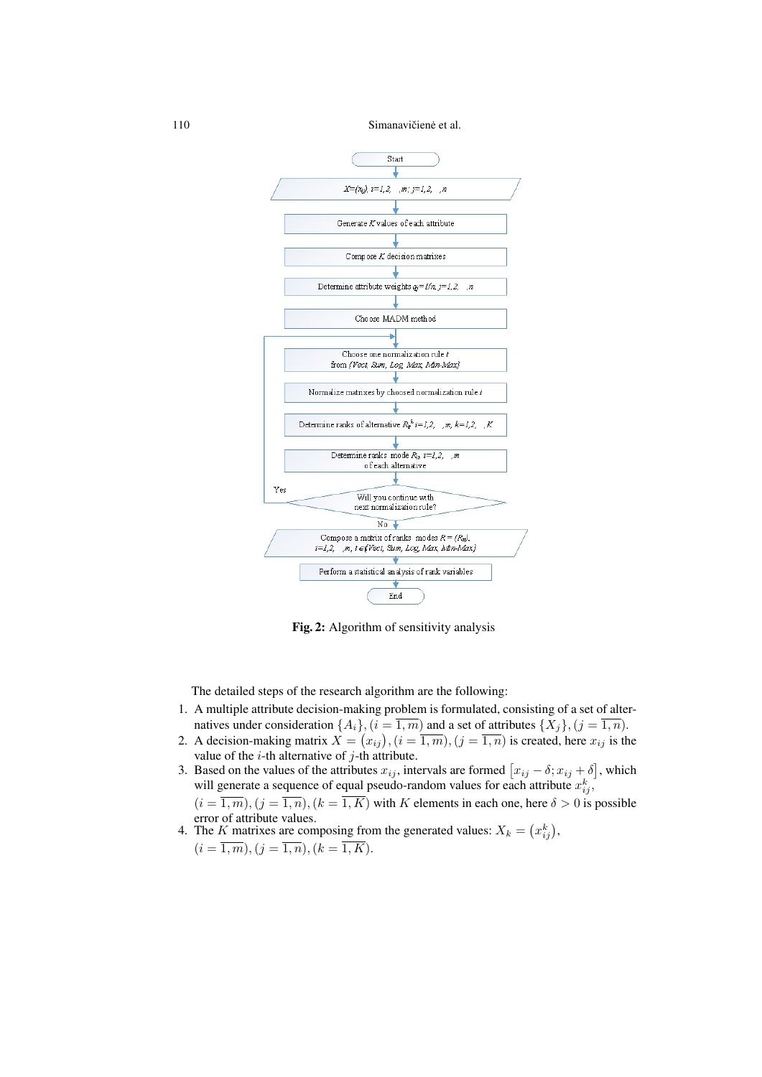

Fig. 2: Algorithm of sensitivity analysis

The detailed steps of the research algorithm are the following:

- 1. A multiple attribute decision-making problem is formulated, consisting of a set of alternatives under consideration  $\{A_i\}$ ,  $(i = \overline{1,m})$  and a set of attributes  $\{X_j\}$ ,  $(j = \overline{1,n})$ .
- 2. A decision-making matrix  $X = (x_{ij}), (i = \overline{1,m}), (j = \overline{1,n})$  is created, here  $x_{ij}$  is the value of the  $i$ -th alternative of  $j$ -th attribute.
- 3. Based on the values of the attributes  $x_{ij}$ , intervals are formed  $\left[x_{ij} \delta; x_{ij} + \delta\right]$ , which will generate a sequence of equal pseudo-random values for each attribute  $x_{ij}^k$ ,
- $(i = \overline{1,m}), (j = \overline{1,n}), (k = \overline{1,K})$  with K elements in each one, here  $\delta > 0$  is possible error of attribute values.
- 4. The K matrixes are composing from the generated values:  $X_k = (x_{ij}^k)$ ,  $(i = \overline{1,m}), (j = \overline{1,n}), (k = \overline{1,K}).$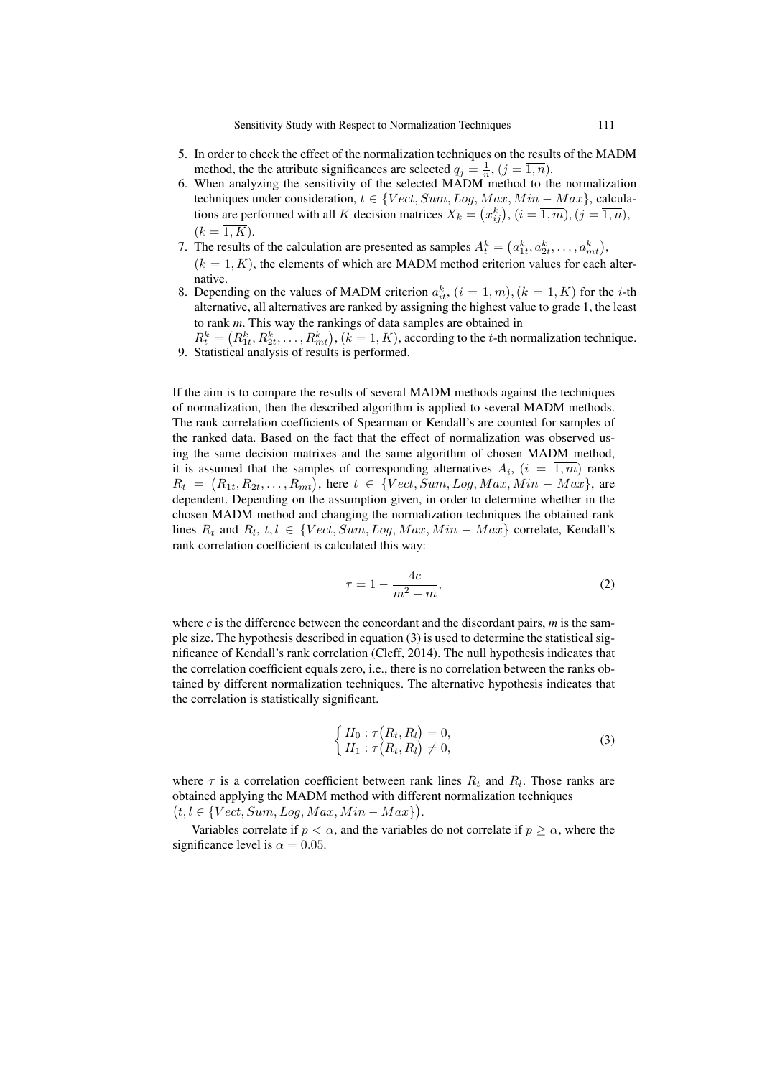Sensitivity Study with Respect to Normalization Techniques 111

- 5. In order to check the effect of the normalization techniques on the results of the MADM method, the the attribute significances are selected  $q_j = \frac{1}{n}$ ,  $(j = \overline{1, n})$ .
- 6. When analyzing the sensitivity of the selected MADM method to the normalization techniques under consideration,  $t \in \{Vect, Sum, Log, Max, Min - Max\}$ , calculations are performed with all K decision matrices  $X_k = (x_{ij}^k), (i = \overline{1,m}), (j = \overline{1,n})$ ,  $(k = \overline{1, K}).$
- 7. The results of the calculation are presented as samples  $A_t^k = (a_{1t}^k, a_{2t}^k, \dots, a_{mt}^k)$ ,  $(k = \overline{1, K})$ , the elements of which are MADM method criterion values for each alternative.
- 8. Depending on the values of MADM criterion  $a_{it}^k$ ,  $(i = \overline{1,m})$ ,  $(k = \overline{1,K})$  for the *i*-th alternative, all alternatives are ranked by assigning the highest value to grade 1, the least to rank *m*. This way the rankings of data samples are obtained in
- $R_t^k = (R_{1t}^k, R_{2t}^k, \dots, R_{mt}^k), (k = \overline{1, K})$ , according to the t-th normalization technique. 9. Statistical analysis of results is performed.

If the aim is to compare the results of several MADM methods against the techniques of normalization, then the described algorithm is applied to several MADM methods. The rank correlation coefficients of Spearman or Kendall's are counted for samples of the ranked data. Based on the fact that the effect of normalization was observed using the same decision matrixes and the same algorithm of chosen MADM method, it is assumed that the samples of corresponding alternatives  $A_i$ ,  $(i = \overline{1,m})$  ranks  $R_t = (R_{1t}, R_{2t}, \ldots, R_{mt})$ , here  $t \in \{Vect, Sum, Log, Max, Min - Max\}$ , are dependent. Depending on the assumption given, in order to determine whether in the chosen MADM method and changing the normalization techniques the obtained rank lines  $R_t$  and  $R_l$ ,  $t, l \in \{Vect, Sum, Log, Max, Min - Max\}$  correlate, Kendall's rank correlation coefficient is calculated this way:

$$
\tau = 1 - \frac{4c}{m^2 - m},\tag{2}
$$

where  $c$  is the difference between the concordant and the discordant pairs,  $m$  is the sample size. The hypothesis described in equation (3) is used to determine the statistical significance of Kendall's rank correlation (Cleff, 2014). The null hypothesis indicates that the correlation coefficient equals zero, i.e., there is no correlation between the ranks obtained by different normalization techniques. The alternative hypothesis indicates that the correlation is statistically significant.

$$
\begin{cases}\nH_0: \tau(R_t, R_l) = 0, \\
H_1: \tau(R_t, R_l) \neq 0,\n\end{cases}
$$
\n(3)

where  $\tau$  is a correlation coefficient between rank lines  $R_t$  and  $R_l$ . Those ranks are obtained applying the MADM method with different normalization techniques  $(t, l \in \{Vect, Sum, Log, Max, Min - Max\}).$ 

Variables correlate if  $p < \alpha$ , and the variables do not correlate if  $p \geq \alpha$ , where the significance level is  $\alpha = 0.05$ .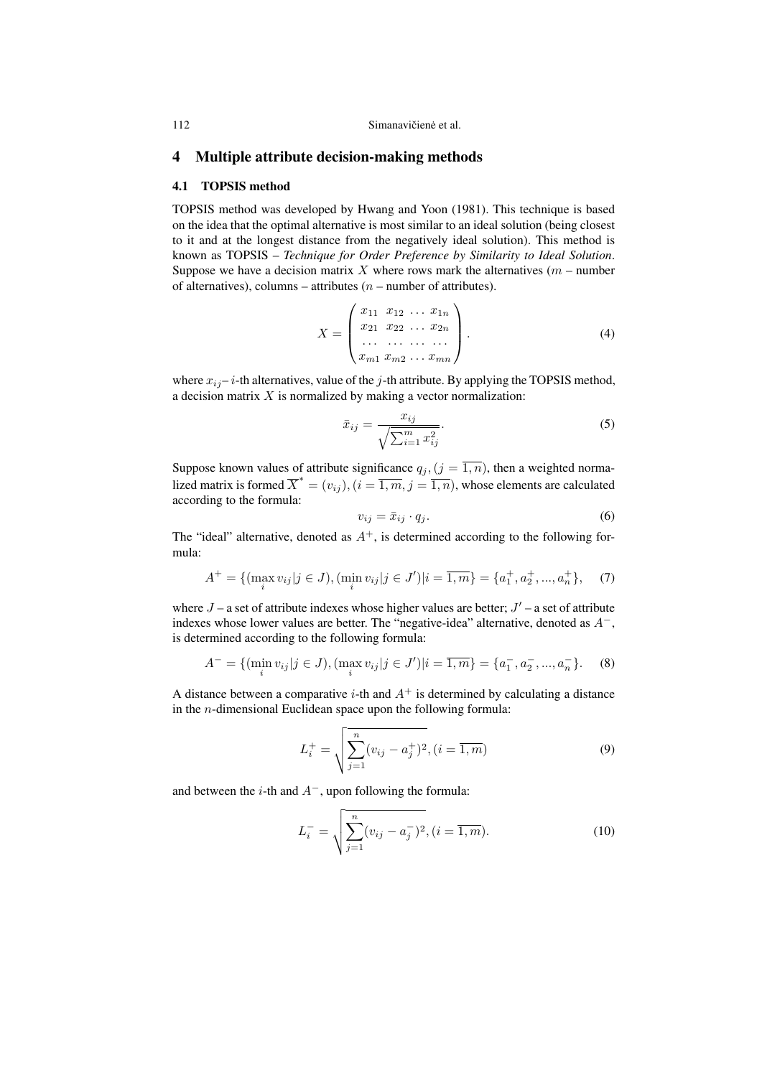## 4 Multiple attribute decision-making methods

#### 4.1 TOPSIS method

TOPSIS method was developed by Hwang and Yoon (1981). This technique is based on the idea that the optimal alternative is most similar to an ideal solution (being closest to it and at the longest distance from the negatively ideal solution). This method is known as TOPSIS – *Technique for Order Preference by Similarity to Ideal Solution*. Suppose we have a decision matrix X where rows mark the alternatives  $(m - number)$ of alternatives), columns – attributes  $(n -$  number of attributes).

$$
X = \begin{pmatrix} x_{11} & x_{12} & \dots & x_{1n} \\ x_{21} & x_{22} & \dots & x_{2n} \\ \dots & \dots & \dots & \dots \\ x_{m1} & x_{m2} & \dots & x_{mn} \end{pmatrix}.
$$
 (4)

where  $x_{ij}$ – *i*-th alternatives, value of the *j*-th attribute. By applying the TOPSIS method, a decision matrix  $X$  is normalized by making a vector normalization:

$$
\bar{x}_{ij} = \frac{x_{ij}}{\sqrt{\sum_{i=1}^{m} x_{ij}^2}}.
$$
\n(5)

Suppose known values of attribute significance  $q_i$ ,  $(j = \overline{1,n})$ , then a weighted normalized matrix is formed  $\overline{X}^* = (v_{ij}), (i = \overline{1, m}, j = \overline{1, n})$ , whose elements are calculated according to the formula:

$$
v_{ij} = \bar{x}_{ij} \cdot q_j. \tag{6}
$$

The "ideal" alternative, denoted as  $A^+$ , is determined according to the following formula:

$$
A^{+} = \{ (\max_{i} v_{ij} | j \in J), (\min_{i} v_{ij} | j \in J') | i = \overline{1, m} \} = \{ a_{1}^{+}, a_{2}^{+}, ..., a_{n}^{+} \}, \quad (7)
$$

where  $J$  – a set of attribute indexes whose higher values are better;  $J'$  – a set of attribute indexes whose lower values are better. The "negative-idea" alternative, denoted as  $A^-$ , is determined according to the following formula:

$$
A^{-} = \{ (\min_{i} v_{ij} | j \in J), (\max_{i} v_{ij} | j \in J') | i = \overline{1, m} \} = \{a_{1}^{-}, a_{2}^{-}, ..., a_{n}^{-}\}.
$$
 (8)

A distance between a comparative *i*-th and  $A^+$  is determined by calculating a distance in the  $n$ -dimensional Euclidean space upon the following formula:

$$
L_i^+ = \sqrt{\sum_{j=1}^n (v_{ij} - a_j^+)^2}, (i = \overline{1, m})
$$
\n(9)

and between the *i*-th and  $A^-$ , upon following the formula:

$$
L_i^- = \sqrt{\sum_{j=1}^n (v_{ij} - a_j^-)^2}, (i = \overline{1, m}).
$$
\n(10)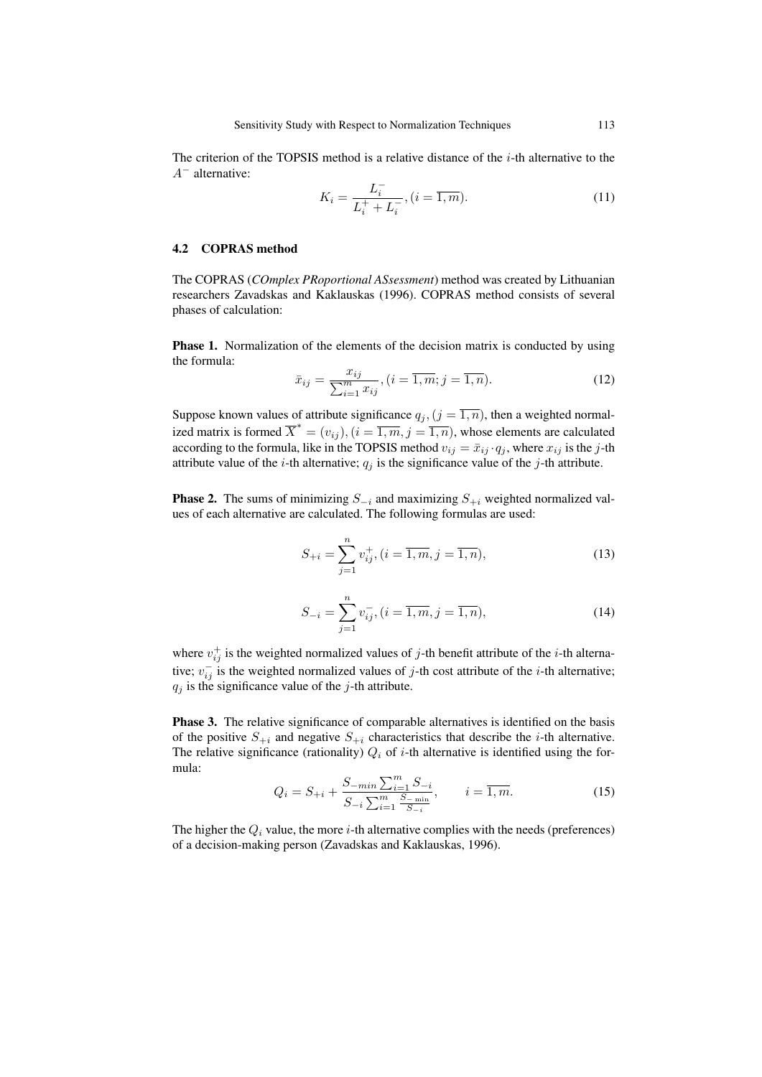The criterion of the TOPSIS method is a relative distance of the  $i$ -th alternative to the A<sup>−</sup> alternative:

$$
K_i = \frac{L_i^-}{L_i^+ + L_i^-}, (i = \overline{1, m}).
$$
\n(11)

#### 4.2 COPRAS method

The COPRAS (*COmplex PRoportional ASsessment*) method was created by Lithuanian researchers Zavadskas and Kaklauskas (1996). COPRAS method consists of several phases of calculation:

Phase 1. Normalization of the elements of the decision matrix is conducted by using the formula:

$$
\bar{x}_{ij} = \frac{x_{ij}}{\sum_{i=1}^{m} x_{ij}}, (i = \overline{1, m}; j = \overline{1, n}).
$$
\n(12)

Suppose known values of attribute significance  $q_j$ ,  $(j = \overline{1, n})$ , then a weighted normalized matrix is formed  $\overline{X}^* = (v_{ij}), (i = \overline{1,m}, j = \overline{1,n})$ , whose elements are calculated according to the formula, like in the TOPSIS method  $v_{ij} = \bar{x}_{ij} \cdot q_j$ , where  $x_{ij}$  is the j-th attribute value of the *i*-th alternative;  $q_i$  is the significance value of the *j*-th attribute.

**Phase 2.** The sums of minimizing  $S_{-i}$  and maximizing  $S_{+i}$  weighted normalized values of each alternative are calculated. The following formulas are used:

$$
S_{+i} = \sum_{j=1}^{n} v_{ij}^{+}, (i = \overline{1, m}, j = \overline{1, n}),
$$
\n(13)

$$
S_{-i} = \sum_{j=1}^{n} v_{ij}^-, (i = \overline{1, m}, j = \overline{1, n}),
$$
\n(14)

where  $v_{ij}^+$  is the weighted normalized values of j-th benefit attribute of the *i*-th alternative;  $v_{ij}^-$  is the weighted normalized values of j-th cost attribute of the *i*-th alternative;  $q_i$  is the significance value of the j-th attribute.

Phase 3. The relative significance of comparable alternatives is identified on the basis of the positive  $S_{+i}$  and negative  $S_{+i}$  characteristics that describe the *i*-th alternative. The relative significance (rationality)  $Q_i$  of *i*-th alternative is identified using the formula:

$$
Q_i = S_{+i} + \frac{S_{-min} \sum_{i=1}^{m} S_{-i}}{S_{-i} \sum_{i=1}^{m} \frac{S_{-min}}{S_{-i}}}, \qquad i = \overline{1, m}.
$$
 (15)

The higher the  $Q_i$  value, the more *i*-th alternative complies with the needs (preferences) of a decision-making person (Zavadskas and Kaklauskas, 1996).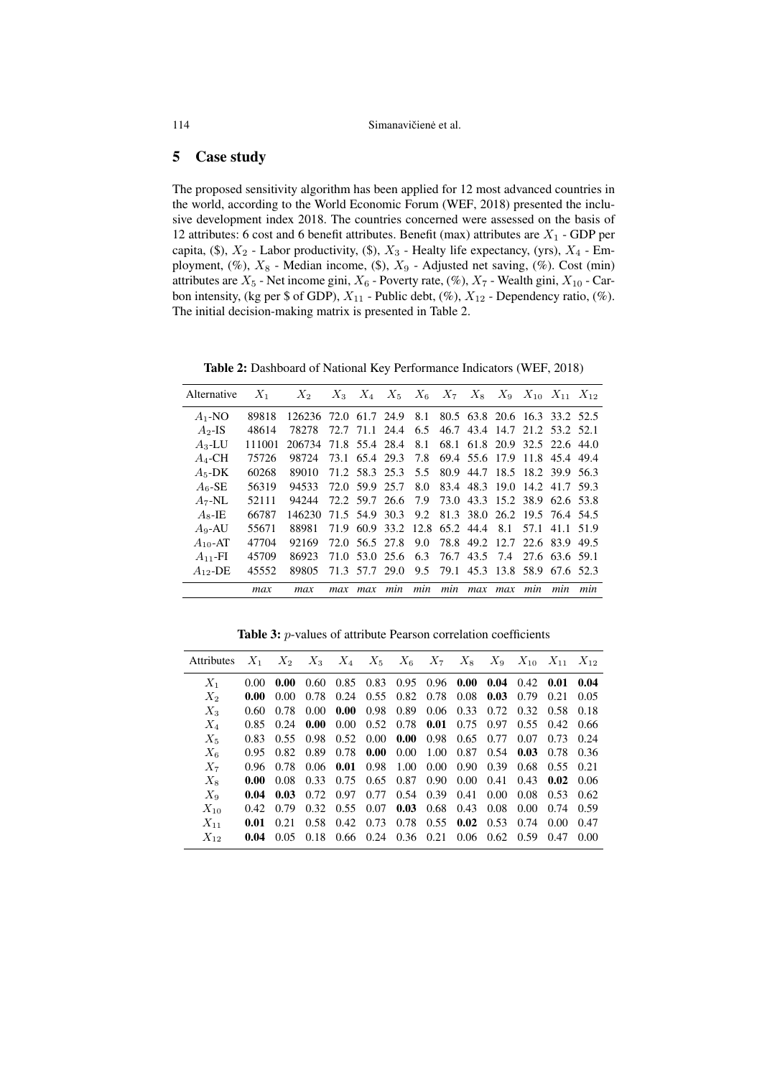## 5 Case study

The proposed sensitivity algorithm has been applied for 12 most advanced countries in the world, according to the World Economic Forum (WEF, 2018) presented the inclusive development index 2018. The countries concerned were assessed on the basis of 12 attributes: 6 cost and 6 benefit attributes. Benefit (max) attributes are  $X_1$  - GDP per capita, (\$),  $X_2$  - Labor productivity, (\$),  $X_3$  - Healty life expectancy, (yrs),  $X_4$  - Employment,  $(\%)$ ,  $X_8$  - Median income,  $(\$)$ ,  $X_9$  - Adjusted net saving,  $(\%)$ . Cost (min) attributes are  $X_5$  - Net income gini,  $X_6$  - Poverty rate, (%),  $X_7$  - Wealth gini,  $X_{10}$  - Carbon intensity, (kg per \$ of GDP),  $X_{11}$  - Public debt, (%),  $X_{12}$  - Dependency ratio, (%). The initial decision-making matrix is presented in Table 2.

Table 2: Dashboard of National Key Performance Indicators (WEF, 2018)

| Alternative  | $X_1$  | $X_2$                 |           | $X_3$ $X_4$    | $X_5$                         |     | $X_6$ $X_7$ | $X_8$          |                               |           | $X_9$ $X_{10}$ $X_{11}$ $X_{12}$ |       |
|--------------|--------|-----------------------|-----------|----------------|-------------------------------|-----|-------------|----------------|-------------------------------|-----------|----------------------------------|-------|
| $A_1$ -NO    | 89818  | 126236 72.0 61.7 24.9 |           |                |                               | 8.1 |             |                | 80.5 63.8 20.6 16.3 33.2 52.5 |           |                                  |       |
| $A_2$ -IS    | 48614  | 78278                 |           | 72.7 71.1 24.4 |                               | 6.5 |             | 46.7 43.4      |                               |           | 14.7 21.2 53.2 52.1              |       |
| $A_3$ -LU    | 111001 | 206734                |           | 71.8 55.4 28.4 |                               | 8.1 |             |                | 68.1 61.8 20.9 32.5 22.6 44.0 |           |                                  |       |
| $A_4$ -CH    | 75726  | 98724                 |           | 73.1 65.4 29.3 |                               | 7.8 |             | 69.4 55.6 17.9 |                               | 11.8      | 45.4 49.4                        |       |
| $A_5$ -DK    | 60268  | 89010                 |           | 71.2 58.3 25.3 |                               | 5.5 |             |                | 80.9 44.7 18.5 18.2 39.9 56.3 |           |                                  |       |
| $A_6$ -SE    | 56319  | 94533                 |           | 72.0 59.9      | 25.7                          | 8.0 |             | 83.4 48.3      | 19.0                          |           | $14.2$ 41.7                      | -59.3 |
| $A_7$ -NL    | 52111  | 94244                 |           | 72.2 59.7 26.6 |                               | 7.9 |             |                | 73.0 43.3 15.2 38.9 62.6 53.8 |           |                                  |       |
| $A_8$ -IE    | 66787  | 146230                | 71.5 54.9 |                | 30.3                          | 9.2 |             |                | 81.3 38.0 26.2 19.5 76.4 54.5 |           |                                  |       |
| $A_9$ -AU    | 55671  | 88981                 |           |                | 71.9 60.9 33.2 12.8 65.2 44.4 |     |             |                | 8.1                           |           | 57.1 41.1 51.9                   |       |
| $A_{10}$ -AT | 47704  | 92169                 |           | 72.0 56.5 27.8 |                               | 9.0 |             | 78.8 49.2      | 12.7                          | 22.6 83.9 |                                  | 49.5  |
| $A_{11}$ -FI | 45709  | 86923                 |           | 71.0 53.0 25.6 |                               | 6.3 |             | 76.7 43.5 7.4  |                               |           | 27.6 63.6 59.1                   |       |
| $A_{12}$ -DE | 45552  | 89805                 |           | 71.3 57.7 29.0 |                               | 9.5 | 79.1        | 45.3           | 13.8 58.9                     |           | 67.6 52.3                        |       |
|              | max    | max                   | max       | max            | mın                           | mın | mın         | max            | max                           | min       | min                              | min   |

Table 3: *p*-values of attribute Pearson correlation coefficients

| Attributes | $X_1$             | $X_2$ |           |      |                      |                             | $X_3$ $X_4$ $X_5$ $X_6$ $X_7$ $X_8$ $X_9$ $X_{10}$ $X_{11}$ $X_{12}$ |                   |                              |                   |       |       |
|------------|-------------------|-------|-----------|------|----------------------|-----------------------------|----------------------------------------------------------------------|-------------------|------------------------------|-------------------|-------|-------|
| $X_1$      | 0.00              | 0.00  | 0.60      |      |                      |                             | $0.85$ $0.83$ $0.95$ $0.96$ $0.00$ $0.04$ $0.42$ $0.01$              |                   |                              |                   |       | 0.04  |
| $X_2$      | 0.00              | 0.00  | 0.78      |      |                      |                             | 0.24 0.55 0.82 0.78                                                  | 0.08              | 0.03                         | 0.79              | 0.21  | 0.05  |
| $X_3$      | 0.60              | 0.78  | 0.00      | 0.00 |                      | 0.98 0.89                   | $0.06$ 0.33                                                          |                   |                              | 0.72 0.32 0.58    |       | 0.18  |
| $X_4$      | 0.85              | 0.24  | 0.00      |      |                      |                             | $0.00 \quad 0.52 \quad 0.78 \quad 0.01$                              |                   | $0.75$ 0.97                  | 0.55              | 0.42. | 0.66  |
| $X_5$      | 0.83              |       | 0.55 0.98 |      |                      |                             | $0.52$ $0.00$ $0.00$ $0.98$ $0.65$ $0.77$                            |                   |                              | 0.07              | 0.73  | 0.24  |
| $X_6$      | 0.95              |       | 0.82 0.89 | 0.78 |                      |                             | $0.00 \quad 0.00 \quad 1.00$                                         | 0.87              |                              | $0.54$ 0.03       | 0.78  | 0.36  |
| $X_7$      | 0.96              | 0.78  | 0.06      |      | $0.01 \quad 0.98$    |                             | $1.00 \quad 0.00$                                                    | 0.90 <sub>1</sub> | 0.39                         | 0.68 0.55         |       | 0.21  |
| $X_8$      | 0.00 <sub>1</sub> | 0.08  | 0.33      |      | $0.75$ $0.65$ $0.87$ |                             | 0.90                                                                 |                   | $0.00 \quad 0.41$            | 0.43              | 0.02  | -0.06 |
| $X_9$      | 0.04              | 0.03  | 0.72      | 0.97 |                      | $0.77 \quad 0.54$           | 0.39                                                                 | 0.41              | 0.00                         | 0.08              | 0.53  | 0.62  |
| $X_{10}$   | 0.42              | 0.79  | 0.32      | 0.55 | 0.07                 | 0.03                        | 0.68                                                                 | 0.43              | 0.08                         | 0.00 <sub>1</sub> | 0.74  | 0.59  |
| $X_{11}$   | 0.01              | 0.21  | 0.58      |      | $0.42$ $0.73$ $0.78$ |                             | 0.55                                                                 |                   | $0.02 \quad 0.53 \quad 0.74$ |                   | 0.00  | 0.47  |
| $X_{12}$   | 0.04              | 0.05  | 0.18      |      |                      | $0.66$ $0.24$ $0.36$ $0.21$ |                                                                      |                   | $0.06$ $0.62$ $0.59$         |                   | 0.47  | 0.00  |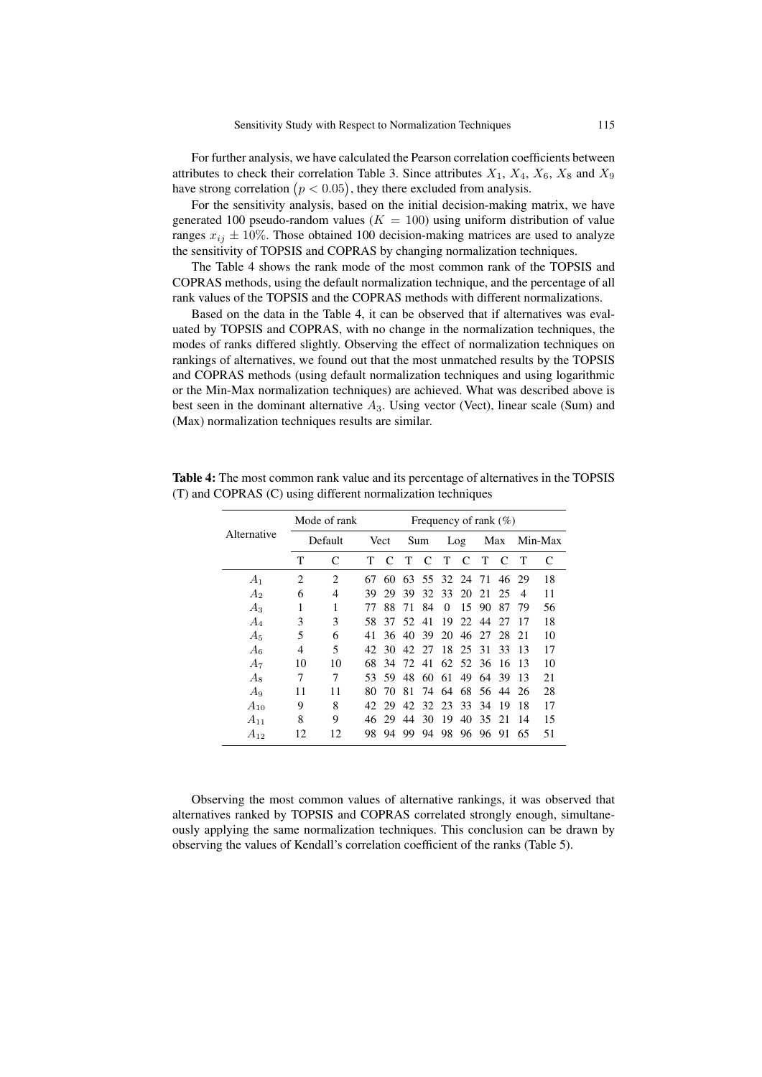For further analysis, we have calculated the Pearson correlation coefficients between attributes to check their correlation Table 3. Since attributes  $X_1$ ,  $X_4$ ,  $X_6$ ,  $X_8$  and  $X_9$ have strong correlation  $(p < 0.05)$ , they there excluded from analysis.

For the sensitivity analysis, based on the initial decision-making matrix, we have generated 100 pseudo-random values ( $K = 100$ ) using uniform distribution of value ranges  $x_{ij} \pm 10\%$ . Those obtained 100 decision-making matrices are used to analyze the sensitivity of TOPSIS and COPRAS by changing normalization techniques.

The Table 4 shows the rank mode of the most common rank of the TOPSIS and COPRAS methods, using the default normalization technique, and the percentage of all rank values of the TOPSIS and the COPRAS methods with different normalizations.

Based on the data in the Table 4, it can be observed that if alternatives was evaluated by TOPSIS and COPRAS, with no change in the normalization techniques, the modes of ranks differed slightly. Observing the effect of normalization techniques on rankings of alternatives, we found out that the most unmatched results by the TOPSIS and COPRAS methods (using default normalization techniques and using logarithmic or the Min-Max normalization techniques) are achieved. What was described above is best seen in the dominant alternative  $A_3$ . Using vector (Vect), linear scale (Sum) and (Max) normalization techniques results are similar.

|                | Mode of rank                | Frequency of rank $(\%)$ |      |     |                   |          |          |                |          |       |         |    |
|----------------|-----------------------------|--------------------------|------|-----|-------------------|----------|----------|----------------|----------|-------|---------|----|
| Alternative    | Default                     |                          | Vect |     | Sum               |          | Log      |                | Max      |       | Min-Max |    |
|                | T                           | C                        | т    | C   | Т                 | C        | T        | C              | Т        | C     | Т       | C  |
| A <sub>1</sub> | $\mathcal{D}_{\mathcal{L}}$ | 2                        | 67   | 60  |                   |          |          | 63 55 32 24 71 |          | 46 29 |         | 18 |
| A <sub>2</sub> | 6                           | 4                        | 39   | 29  | 39                |          | 32 33 20 |                | 21       | 25    | 4       | 11 |
| $A_3$          | 1                           | 1                        | 77   | 88  | 71                | 84       | $\Omega$ | 15             | 90       | 87    | 79      | 56 |
| $A_4$          | 3                           | 3                        | 58.  | 37  | 52.41             |          | 19       | 22.            | 44       | 27    | 17      | 18 |
| $A_5$          | 5                           | 6                        | 41   |     | 36 40 39 20 46 27 |          |          |                |          | 28    | -21     | 10 |
| $A_6$          | 4                           | 5                        | 42.  | 30. | 42. 27            |          | 18       | 25             | 31       | 33    | 13      | 17 |
| $A_7$          | 10                          | 10                       | 68.  |     | 34 72 41          |          |          | 62 52 36       |          | -16   | 13      | 10 |
| $A_8$          | 7                           | 7                        | 53.  | 59. | 48                |          | 60 61    | 49             | 64       | -39   | 13      | 21 |
| $A_9$          | 11                          | 11                       | 80   | 70  |                   | 81 74 64 |          |                | 68 56 44 |       | -26     | 28 |
| $A_{10}$       | 9                           | 8                        | 42.  | 29  | 42.               | 32       | 23       | 33             | 34       | 19    | 18      | 17 |
| $A_{11}$       | 8                           | 9                        | 46   | 29  | 44                | 30       | 19       | 40             | 35       | 21    | 14      | 15 |
| $A_{12}$       | 12                          | 12                       | 98   | 94  | 99                | 94       | 98       | 96             | 96       | 91    | 65      | 51 |

Table 4: The most common rank value and its percentage of alternatives in the TOPSIS (T) and COPRAS (C) using different normalization techniques

Observing the most common values of alternative rankings, it was observed that alternatives ranked by TOPSIS and COPRAS correlated strongly enough, simultaneously applying the same normalization techniques. This conclusion can be drawn by observing the values of Kendall's correlation coefficient of the ranks (Table 5).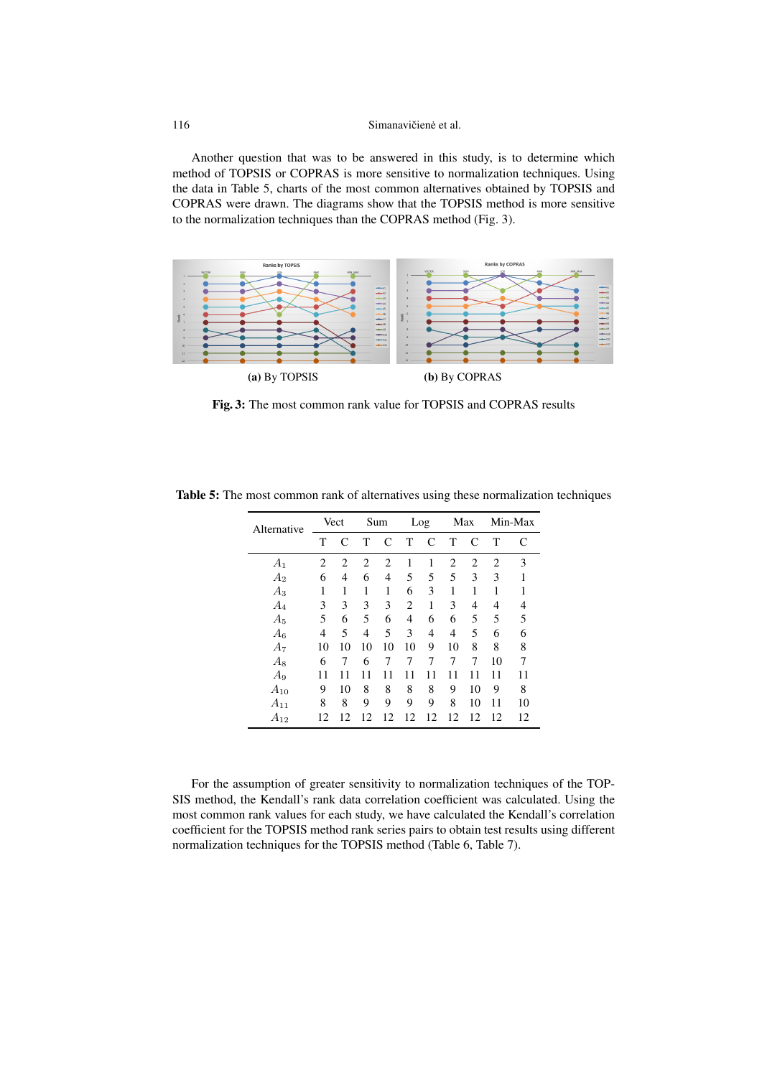Another question that was to be answered in this study, is to determine which method of TOPSIS or COPRAS is more sensitive to normalization techniques. Using the data in Table 5, charts of the most common alternatives obtained by TOPSIS and COPRAS were drawn. The diagrams show that the TOPSIS method is more sensitive to the normalization techniques than the COPRAS method (Fig. 3).



Fig. 3: The most common rank value for TOPSIS and COPRAS results

| Alternative    | Vect           |                |    | Sum            |    | Log            |                | Max |                | Min-Max |  |
|----------------|----------------|----------------|----|----------------|----|----------------|----------------|-----|----------------|---------|--|
|                | Т              | C              | Т  | C              | T  | C              | T              | C   | T              | C       |  |
| $A_1$          | 2              | $\overline{2}$ | 2  | $\overline{c}$ | 1  | 1              | $\overline{2}$ | 2   | $\overline{2}$ | 3       |  |
| A <sub>2</sub> | 6              | 4              | 6  | $\overline{4}$ | 5  | 5              | 5              | 3   | 3              | 1       |  |
| $A_3$          | 1              | 1              | 1  | 1              | 6  | 3              | 1              | 1   | 1              | 1       |  |
| $A_4$          | 3              | 3              | 3  | 3              | 2  | 1              | 3              | 4   | 4              | 4       |  |
| $A_5$          | 5              | 6              | 5  | 6              | 4  | 6              | 6              | 5   | 5              | 5       |  |
| $A_6$          | $\overline{4}$ | 5              | 4  | 5              | 3  | $\overline{4}$ | 4              | 5   | 6              | 6       |  |
| $A_7$          | 10             | 10             | 10 | 10             | 10 | 9              | 10             | 8   | 8              | 8       |  |
| $A_8$          | 6              | 7              | 6  | 7              | 7  | 7              | 7              | 7   | 10             | 7       |  |
| $A_9$          | 11             | 11             | 11 | 11             | 11 | 11             | 11             | 11  | 11             | 11      |  |
| $A_{10}$       | 9              | 10             | 8  | 8              | 8  | 8              | 9              | 10  | 9              | 8       |  |
| $A_{11}$       | 8              | 8              | 9  | 9              | 9  | 9              | 8              | 10  | 11             | 10      |  |
| $A_{12}$       | 12             | 12             | 12 | 12             | 12 | 12             | 12             | 12  | 12             | 12      |  |

Table 5: The most common rank of alternatives using these normalization techniques

For the assumption of greater sensitivity to normalization techniques of the TOP-SIS method, the Kendall's rank data correlation coefficient was calculated. Using the most common rank values for each study, we have calculated the Kendall's correlation coefficient for the TOPSIS method rank series pairs to obtain test results using different normalization techniques for the TOPSIS method (Table 6, Table 7).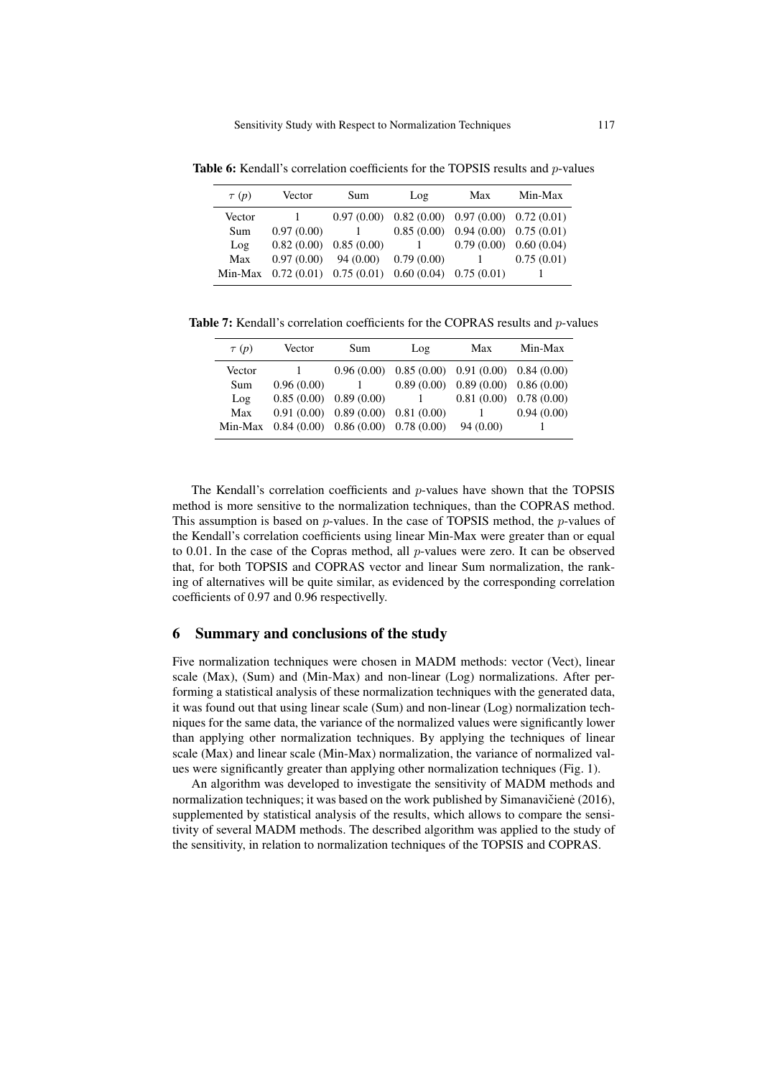$\tau(p)$  Vector Sum Log Max Min-Max Vector 1 0.97 (0.00) 0.82 (0.00) 0.97 (0.00) 0.72 (0.01)<br>Sum 0.97 (0.00) 1 0.85 (0.00) 0.94 (0.00) 0.75 (0.01) Sum 0.97 (0.00) 1 0.85 (0.00) 0.94 (0.00) 0.75 (0.01) Log  $0.82 (0.00) 0.85 (0.00) 1 0.79 (0.00) 0.60 (0.04)$ Max  $0.97 (0.00)$   $94 (0.00)$   $0.79 (0.00)$  1  $0.75 (0.01)$ Min-Max 0.72 (0.01) 0.75 (0.01) 0.60 (0.04) 0.75 (0.01) 1

Table 6: Kendall's correlation coefficients for the TOPSIS results and *p*-values

Table 7: Kendall's correlation coefficients for the COPRAS results and p-values

| $\tau(p)$ | Vector                                         | Sum                                    | Log                                                 | Max                       | Min-Max    |
|-----------|------------------------------------------------|----------------------------------------|-----------------------------------------------------|---------------------------|------------|
| Vector    |                                                |                                        | $0.96(0.00)$ $0.85(0.00)$ $0.91(0.00)$ $0.84(0.00)$ |                           |            |
| Sum       | 0.96(0.00)                                     |                                        | 0.89(0.00)                                          | $0.89(0.00)$ $0.86(0.00)$ |            |
| Log       | 0.85(0.00)                                     | 0.89(0.00)                             | $\begin{array}{ccc} & 1 & \end{array}$              | $0.81(0.00)$ $0.78(0.00)$ |            |
| Max       |                                                | $0.91(0.00)$ $0.89(0.00)$ $0.81(0.00)$ |                                                     |                           | 0.94(0.00) |
|           | Min-Max $0.84(0.00)$ $0.86(0.00)$ $0.78(0.00)$ |                                        |                                                     | 94(0.00)                  |            |

The Kendall's correlation coefficients and p-values have shown that the TOPSIS method is more sensitive to the normalization techniques, than the COPRAS method. This assumption is based on  $p$ -values. In the case of TOPSIS method, the  $p$ -values of the Kendall's correlation coefficients using linear Min-Max were greater than or equal to 0.01. In the case of the Copras method, all  $p$ -values were zero. It can be observed that, for both TOPSIS and COPRAS vector and linear Sum normalization, the ranking of alternatives will be quite similar, as evidenced by the corresponding correlation coefficients of 0.97 and 0.96 respectivelly.

#### 6 Summary and conclusions of the study

Five normalization techniques were chosen in MADM methods: vector (Vect), linear scale (Max), (Sum) and (Min-Max) and non-linear (Log) normalizations. After performing a statistical analysis of these normalization techniques with the generated data, it was found out that using linear scale (Sum) and non-linear (Log) normalization techniques for the same data, the variance of the normalized values were significantly lower than applying other normalization techniques. By applying the techniques of linear scale (Max) and linear scale (Min-Max) normalization, the variance of normalized values were significantly greater than applying other normalization techniques (Fig. 1).

An algorithm was developed to investigate the sensitivity of MADM methods and normalization techniques; it was based on the work published by Simanavičien  $(2016)$ , supplemented by statistical analysis of the results, which allows to compare the sensitivity of several MADM methods. The described algorithm was applied to the study of the sensitivity, in relation to normalization techniques of the TOPSIS and COPRAS.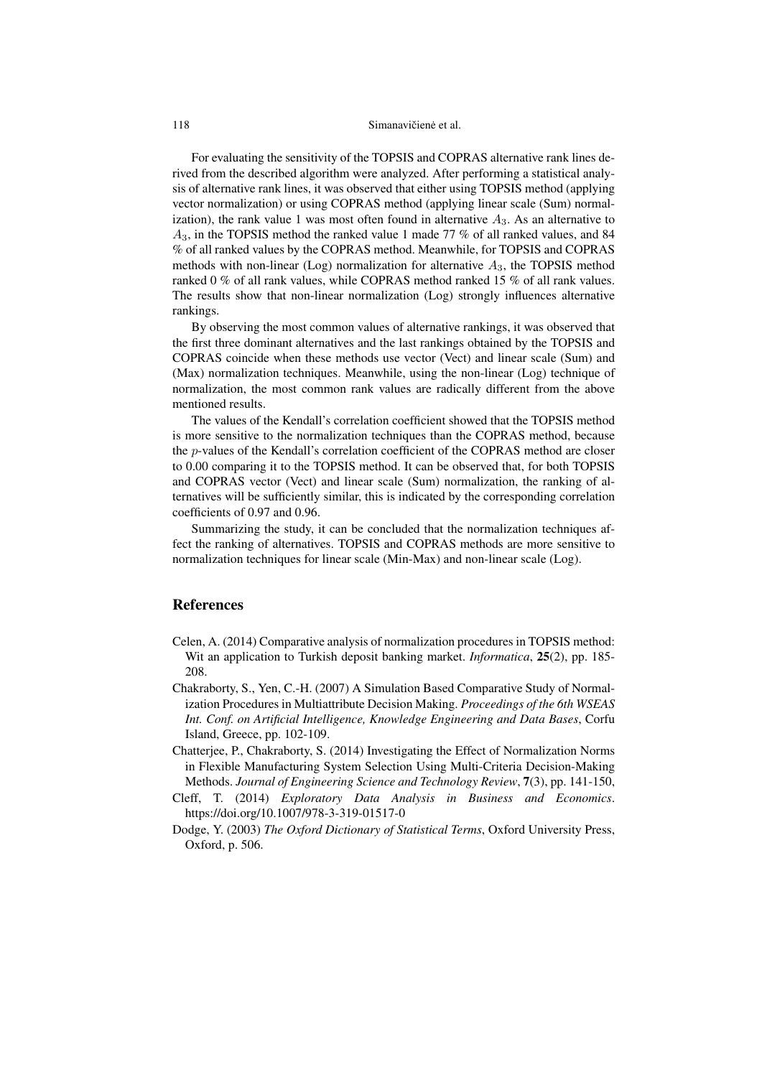For evaluating the sensitivity of the TOPSIS and COPRAS alternative rank lines derived from the described algorithm were analyzed. After performing a statistical analysis of alternative rank lines, it was observed that either using TOPSIS method (applying vector normalization) or using COPRAS method (applying linear scale (Sum) normalization), the rank value 1 was most often found in alternative  $A_3$ . As an alternative to A3, in the TOPSIS method the ranked value 1 made 77 % of all ranked values, and 84 % of all ranked values by the COPRAS method. Meanwhile, for TOPSIS and COPRAS methods with non-linear (Log) normalization for alternative  $A_3$ , the TOPSIS method ranked 0 % of all rank values, while COPRAS method ranked 15 % of all rank values. The results show that non-linear normalization (Log) strongly influences alternative rankings.

By observing the most common values of alternative rankings, it was observed that the first three dominant alternatives and the last rankings obtained by the TOPSIS and COPRAS coincide when these methods use vector (Vect) and linear scale (Sum) and (Max) normalization techniques. Meanwhile, using the non-linear (Log) technique of normalization, the most common rank values are radically different from the above mentioned results.

The values of the Kendall's correlation coefficient showed that the TOPSIS method is more sensitive to the normalization techniques than the COPRAS method, because the p-values of the Kendall's correlation coefficient of the COPRAS method are closer to 0.00 comparing it to the TOPSIS method. It can be observed that, for both TOPSIS and COPRAS vector (Vect) and linear scale (Sum) normalization, the ranking of alternatives will be sufficiently similar, this is indicated by the corresponding correlation coefficients of 0.97 and 0.96.

Summarizing the study, it can be concluded that the normalization techniques affect the ranking of alternatives. TOPSIS and COPRAS methods are more sensitive to normalization techniques for linear scale (Min-Max) and non-linear scale (Log).

## References

- Celen, A. (2014) Comparative analysis of normalization procedures in TOPSIS method: Wit an application to Turkish deposit banking market. *Informatica*, 25(2), pp. 185- 208.
- Chakraborty, S., Yen, C.-H. (2007) A Simulation Based Comparative Study of Normalization Procedures in Multiattribute Decision Making. *Proceedings of the 6th WSEAS Int. Conf. on Artificial Intelligence, Knowledge Engineering and Data Bases*, Corfu Island, Greece, pp. 102-109.
- Chatterjee, P., Chakraborty, S. (2014) Investigating the Effect of Normalization Norms in Flexible Manufacturing System Selection Using Multi-Criteria Decision-Making Methods. *Journal of Engineering Science and Technology Review*, 7(3), pp. 141-150,
- Cleff, T. (2014) *Exploratory Data Analysis in Business and Economics*. https://doi.org/10.1007/978-3-319-01517-0
- Dodge, Y. (2003) *The Oxford Dictionary of Statistical Terms*, Oxford University Press, Oxford, p. 506.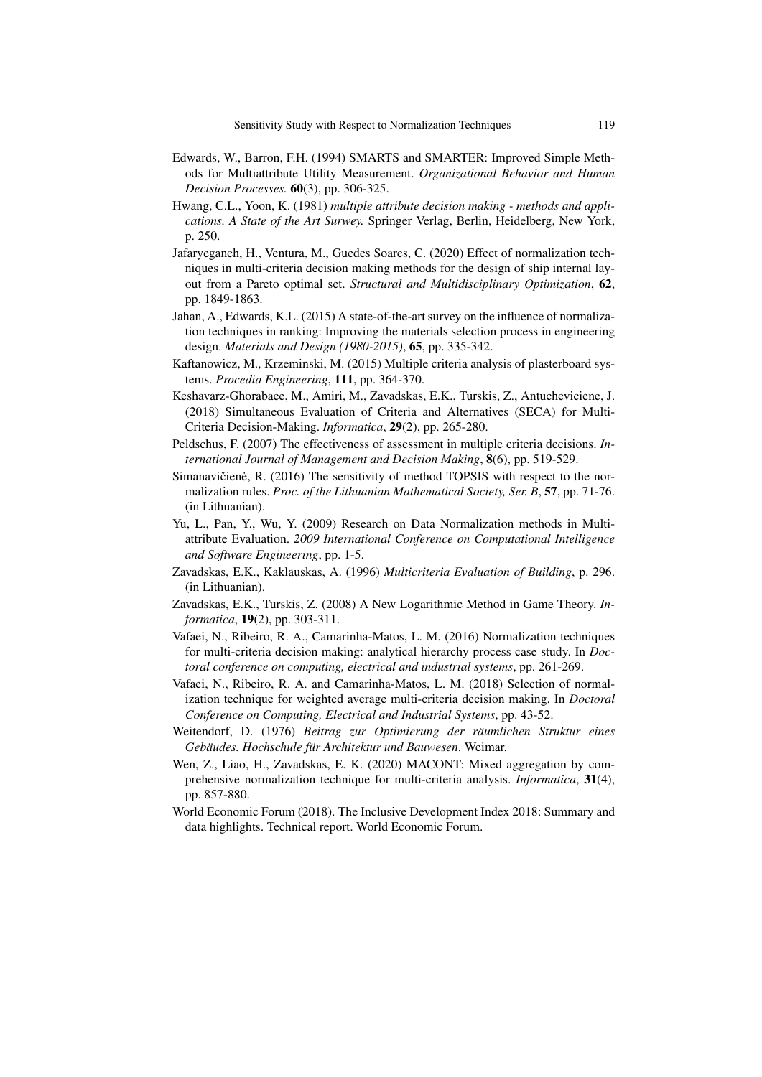- Edwards, W., Barron, F.H. (1994) SMARTS and SMARTER: Improved Simple Methods for Multiattribute Utility Measurement. *Organizational Behavior and Human Decision Processes.* 60(3), pp. 306-325.
- Hwang, C.L., Yoon, K. (1981) *multiple attribute decision making methods and applications. A State of the Art Surwey.* Springer Verlag, Berlin, Heidelberg, New York, p. 250.
- Jafaryeganeh, H., Ventura, M., Guedes Soares, C. (2020) Effect of normalization techniques in multi-criteria decision making methods for the design of ship internal layout from a Pareto optimal set. *Structural and Multidisciplinary Optimization*, 62, pp. 1849-1863.
- Jahan, A., Edwards, K.L. (2015) A state-of-the-art survey on the influence of normalization techniques in ranking: Improving the materials selection process in engineering design. *Materials and Design (1980-2015)*, 65, pp. 335-342.
- Kaftanowicz, M., Krzeminski, M. (2015) Multiple criteria analysis of plasterboard systems. *Procedia Engineering*, 111, pp. 364-370.
- Keshavarz-Ghorabaee, M., Amiri, M., Zavadskas, E.K., Turskis, Z., Antucheviciene, J. (2018) Simultaneous Evaluation of Criteria and Alternatives (SECA) for Multi-Criteria Decision-Making. *Informatica*, 29(2), pp. 265-280.
- Peldschus, F. (2007) The effectiveness of assessment in multiple criteria decisions. *International Journal of Management and Decision Making*, 8(6), pp. 519-529.
- Simanavičienė, R.  $(2016)$  The sensitivity of method TOPSIS with respect to the normalization rules. *Proc. of the Lithuanian Mathematical Society, Ser. B*, 57, pp. 71-76. (in Lithuanian).
- Yu, L., Pan, Y., Wu, Y. (2009) Research on Data Normalization methods in Multiattribute Evaluation. *2009 International Conference on Computational Intelligence and Software Engineering*, pp. 1-5.
- Zavadskas, E.K., Kaklauskas, A. (1996) *Multicriteria Evaluation of Building*, p. 296. (in Lithuanian).
- Zavadskas, E.K., Turskis, Z. (2008) A New Logarithmic Method in Game Theory. *Informatica*, 19(2), pp. 303-311.
- Vafaei, N., Ribeiro, R. A., Camarinha-Matos, L. M. (2016) Normalization techniques for multi-criteria decision making: analytical hierarchy process case study. In *Doctoral conference on computing, electrical and industrial systems*, pp. 261-269.
- Vafaei, N., Ribeiro, R. A. and Camarinha-Matos, L. M. (2018) Selection of normalization technique for weighted average multi-criteria decision making. In *Doctoral Conference on Computing, Electrical and Industrial Systems*, pp. 43-52.
- Weitendorf, D. (1976) *Beitrag zur Optimierung der raumlichen Struktur eines ¨ Gebaudes. Hochschule f ¨ ur Architektur und Bauwesen ¨* . Weimar.
- Wen, Z., Liao, H., Zavadskas, E. K. (2020) MACONT: Mixed aggregation by comprehensive normalization technique for multi-criteria analysis. *Informatica*, 31(4), pp. 857-880.
- World Economic Forum (2018). The Inclusive Development Index 2018: Summary and data highlights. Technical report. World Economic Forum.